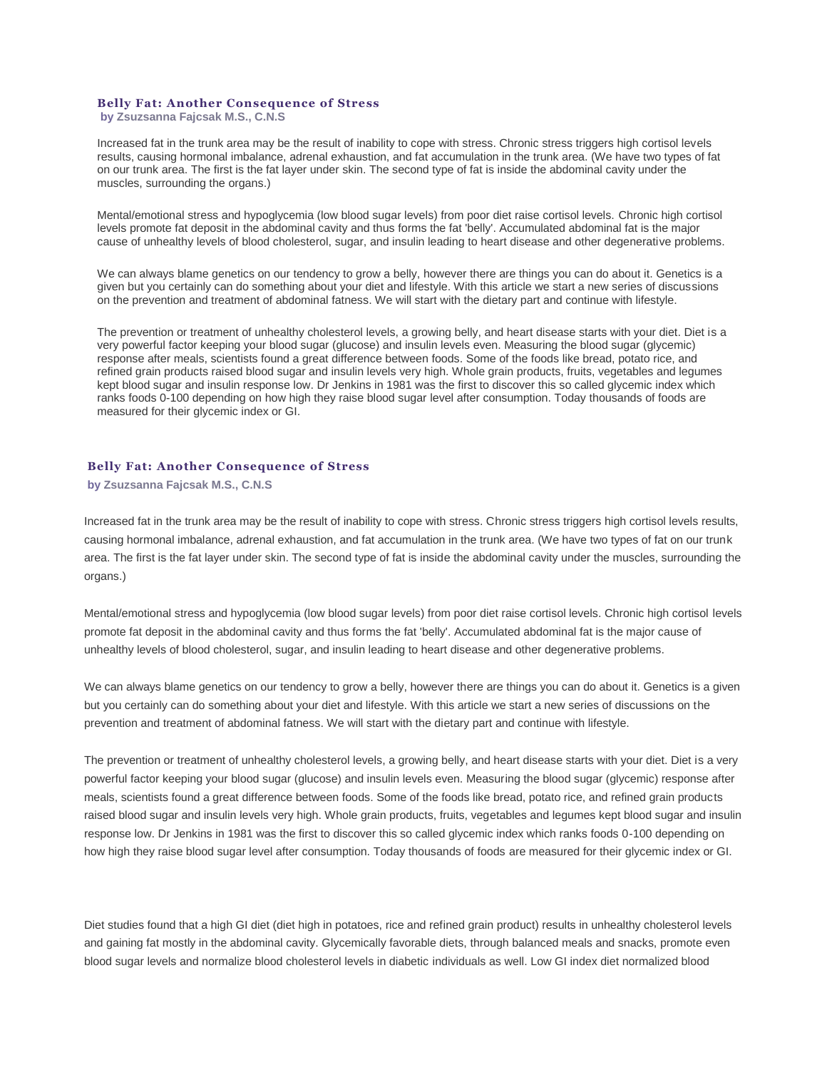## **Belly Fat: Another Consequence of Stress**

**by [Zsuzsanna Fajcsak M.S., C.N.S](https://web.archive.org/web/20150512100627/http:/www.biohealthinfo.com/html/resources/doctorbios.html#zsu)**

Increased fat in the trunk area may be the result of inability to cope with stress. Chronic stress triggers high cortisol levels results, causing hormonal imbalance, adrenal exhaustion, and fat accumulation in the trunk area. (We have two types of fat on our trunk area. The first is the fat layer under skin. The second type of fat is inside the abdominal cavity under the muscles, surrounding the organs.)

Mental/emotional stress and hypoglycemia (low blood sugar levels) from poor diet raise cortisol levels. Chronic high cortisol levels promote fat deposit in the abdominal cavity and thus forms the fat 'belly'. Accumulated abdominal fat is the major cause of unhealthy levels of blood cholesterol, sugar, and insulin leading to heart disease and other degenerative problems.

We can always blame genetics on our tendency to grow a belly, however there are things you can do about it. Genetics is a given but you certainly can do something about your diet and lifestyle. With this article we start a new series of discussions on the prevention and treatment of abdominal fatness. We will start with the dietary part and continue with lifestyle.

The prevention or treatment of unhealthy cholesterol levels, a growing belly, and heart disease starts with your diet. Diet is a very powerful factor keeping your blood sugar (glucose) and insulin levels even. Measuring the blood sugar (glycemic) response after meals, scientists found a great difference between foods. Some of the foods like bread, potato rice, and refined grain products raised blood sugar and insulin levels very high. Whole grain products, fruits, vegetables and legumes kept blood sugar and insulin response low. Dr Jenkins in 1981 was the first to discover this so called glycemic index which ranks foods 0-100 depending on how high they raise blood sugar level after consumption. Today thousands of foods are measured for their glycemic index or GI.

## **Belly Fat: Another Consequence of Stress**

**by [Zsuzsanna Fajcsak M.S., C.N.S](https://web.archive.org/web/20150512100627/http:/www.biohealthinfo.com/html/resources/doctorbios.html#zsu)**

Increased fat in the trunk area may be the result of inability to cope with stress. Chronic stress triggers high cortisol levels results, causing hormonal imbalance, adrenal exhaustion, and fat accumulation in the trunk area. (We have two types of fat on our trunk area. The first is the fat layer under skin. The second type of fat is inside the abdominal cavity under the muscles, surrounding the organs.)

Mental/emotional stress and hypoglycemia (low blood sugar levels) from poor diet raise cortisol levels. Chronic high cortisol levels promote fat deposit in the abdominal cavity and thus forms the fat 'belly'. Accumulated abdominal fat is the major cause of unhealthy levels of blood cholesterol, sugar, and insulin leading to heart disease and other degenerative problems.

We can always blame genetics on our tendency to grow a belly, however there are things you can do about it. Genetics is a given but you certainly can do something about your diet and lifestyle. With this article we start a new series of discussions on the prevention and treatment of abdominal fatness. We will start with the dietary part and continue with lifestyle.

The prevention or treatment of unhealthy cholesterol levels, a growing belly, and heart disease starts with your diet. Diet is a very powerful factor keeping your blood sugar (glucose) and insulin levels even. Measuring the blood sugar (glycemic) response after meals, scientists found a great difference between foods. Some of the foods like bread, potato rice, and refined grain products raised blood sugar and insulin levels very high. Whole grain products, fruits, vegetables and legumes kept blood sugar and insulin response low. Dr Jenkins in 1981 was the first to discover this so called glycemic index which ranks foods 0-100 depending on how high they raise blood sugar level after consumption. Today thousands of foods are measured for their glycemic index or GI.

Diet studies found that a high GI diet (diet high in potatoes, rice and refined grain product) results in unhealthy cholesterol levels and gaining fat mostly in the abdominal cavity. Glycemically favorable diets, through balanced meals and snacks, promote even blood sugar levels and normalize blood cholesterol levels in diabetic individuals as well. Low GI index diet normalized blood